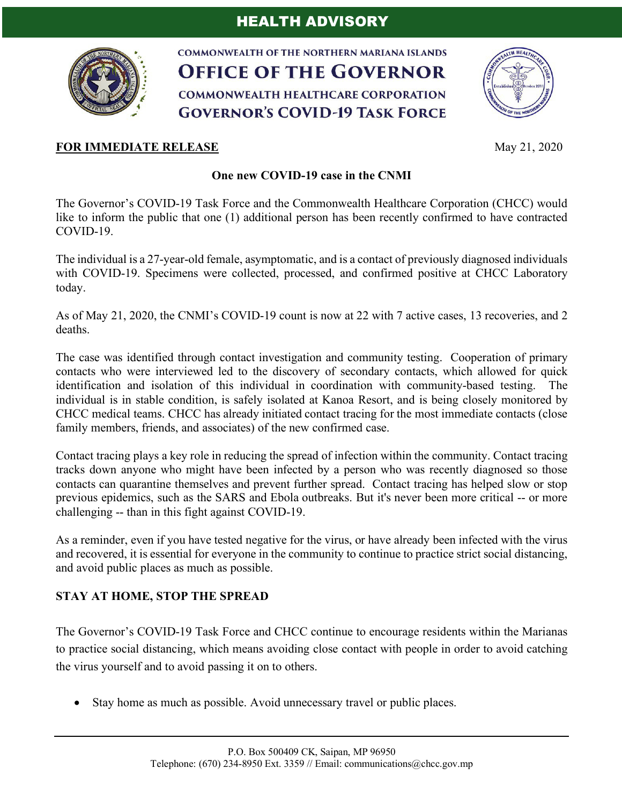

**COMMONWEALTH OF THE NORTHERN MARIANA ISLANDS OFFICE OF THE GOVERNOR COMMONWEALTH HEALTHCARE CORPORATION GOVERNOR'S COVID-19 TASK FORCE** 



## **FOR IMMEDIATE RELEASE** May 21, 2020

## **One new COVID-19 case in the CNMI**

The Governor's COVID-19 Task Force and the Commonwealth Healthcare Corporation (CHCC) would like to inform the public that one (1) additional person has been recently confirmed to have contracted COVID-19.

The individual is a 27-year-old female, asymptomatic, and is a contact of previously diagnosed individuals with COVID-19. Specimens were collected, processed, and confirmed positive at CHCC Laboratory today.

As of May 21, 2020, the CNMI's COVID-19 count is now at 22 with 7 active cases, 13 recoveries, and 2 deaths.

The case was identified through contact investigation and community testing. Cooperation of primary contacts who were interviewed led to the discovery of secondary contacts, which allowed for quick identification and isolation of this individual in coordination with community-based testing. The individual is in stable condition, is safely isolated at Kanoa Resort, and is being closely monitored by CHCC medical teams. CHCC has already initiated contact tracing for the most immediate contacts (close family members, friends, and associates) of the new confirmed case.

Contact tracing plays a key role in reducing the spread of infection within the community. Contact tracing tracks down anyone who might have been infected by a person who was recently diagnosed so those contacts can quarantine themselves and prevent further spread. Contact tracing has helped slow or stop previous epidemics, such as the SARS and Ebola outbreaks. But it's never been more critical -- or more challenging -- than in this fight against COVID-19.

As a reminder, even if you have tested negative for the virus, or have already been infected with the virus and recovered, it is essential for everyone in the community to continue to practice strict social distancing, and avoid public places as much as possible.

## **STAY AT HOME, STOP THE SPREAD**

The Governor's COVID-19 Task Force and CHCC continue to encourage residents within the Marianas to practice social distancing, which means avoiding close contact with people in order to avoid catching the virus yourself and to avoid passing it on to others.

• Stay home as much as possible. Avoid unnecessary travel or public places.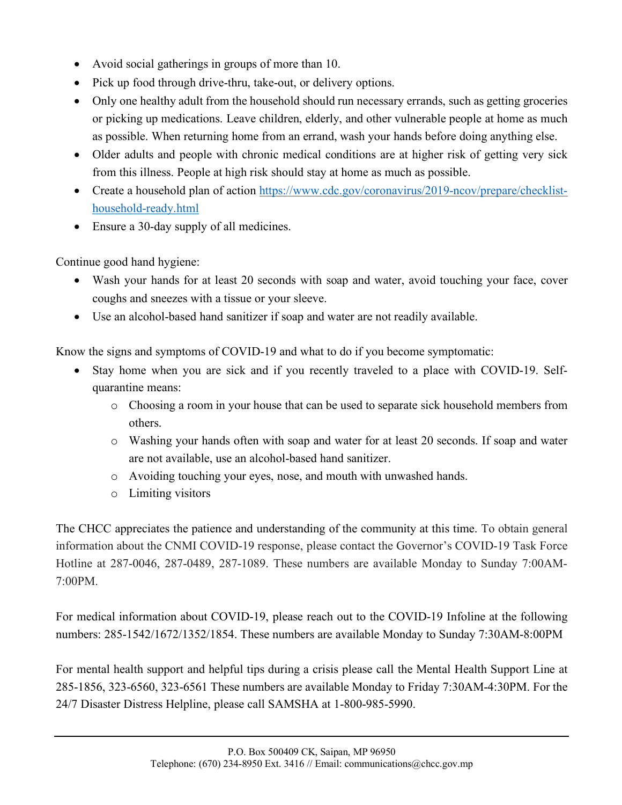- Avoid social gatherings in groups of more than 10.
- Pick up food through drive-thru, take-out, or delivery options.
- Only one healthy adult from the household should run necessary errands, such as getting groceries or picking up medications. Leave children, elderly, and other vulnerable people at home as much as possible. When returning home from an errand, wash your hands before doing anything else.
- Older adults and people with chronic medical conditions are at higher risk of getting very sick from this illness. People at high risk should stay at home as much as possible.
- Create a household plan of action https://www.cdc.gov/coronavirus/2019-ncov/prepare/checklisthousehold-ready.html
- Ensure a 30-day supply of all medicines.

Continue good hand hygiene:

- Wash your hands for at least 20 seconds with soap and water, avoid touching your face, cover coughs and sneezes with a tissue or your sleeve.
- Use an alcohol-based hand sanitizer if soap and water are not readily available.

Know the signs and symptoms of COVID-19 and what to do if you become symptomatic:

- Stay home when you are sick and if you recently traveled to a place with COVID-19. Selfquarantine means:
	- o Choosing a room in your house that can be used to separate sick household members from others.
	- o Washing your hands often with soap and water for at least 20 seconds. If soap and water are not available, use an alcohol-based hand sanitizer.
	- o Avoiding touching your eyes, nose, and mouth with unwashed hands.
	- o Limiting visitors

The CHCC appreciates the patience and understanding of the community at this time. To obtain general information about the CNMI COVID-19 response, please contact the Governor's COVID-19 Task Force Hotline at 287-0046, 287-0489, 287-1089. These numbers are available Monday to Sunday 7:00AM-7:00PM.

For medical information about COVID-19, please reach out to the COVID-19 Infoline at the following numbers: 285-1542/1672/1352/1854. These numbers are available Monday to Sunday 7:30AM-8:00PM

For mental health support and helpful tips during a crisis please call the Mental Health Support Line at 285-1856, 323-6560, 323-6561 These numbers are available Monday to Friday 7:30AM-4:30PM. For the 24/7 Disaster Distress Helpline, please call SAMSHA at 1-800-985-5990.